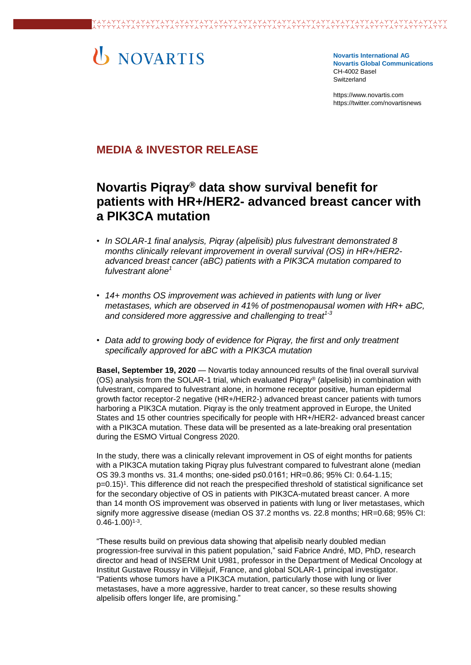# U NOVARTIS

**Novartis International AG Novartis Global Communications**  CH-4002 Basel Switzerland

[https://www.novartis.com](https://www.novartis.com/) https://twitter.com/novartisnews

## **MEDIA & INVESTOR RELEASE**

# **Novartis Piqray® data show survival benefit for patients with HR+/HER2- advanced breast cancer with a PIK3CA mutation**

- *In SOLAR-1 final analysis, Piqray (alpelisib) plus fulvestrant demonstrated 8 months clinically relevant improvement in overall survival (OS) in HR+/HER2 advanced breast cancer (aBC) patients with a PIK3CA mutation compared to fulvestrant alone<sup>1</sup>*
- *14+ months OS improvement was achieved in patients with lung or liver metastases, which are observed in 41% of postmenopausal women with HR+ aBC, and considered more aggressive and challenging to treat1-3*
- *Data add to growing body of evidence for Piqray, the first and only treatment specifically approved for aBC with a PIK3CA mutation*

**Basel, September 19, 2020** — Novartis today announced results of the final overall survival (OS) analysis from the SOLAR-1 trial, which evaluated Piqray® (alpelisib) in combination with fulvestrant, compared to fulvestrant alone, in hormone receptor positive, human epidermal growth factor receptor-2 negative (HR+/HER2-) advanced breast cancer patients with tumors harboring a PIK3CA mutation. Piqray is the only treatment approved in Europe, the United States and 15 other countries specifically for people with HR+/HER2- advanced breast cancer with a PIK3CA mutation. These data will be presented as a late-breaking oral presentation during the ESMO Virtual Congress 2020.

In the study, there was a clinically relevant improvement in OS of eight months for patients with a PIK3CA mutation taking Piqray plus fulvestrant compared to fulvestrant alone (median OS 39.3 months vs. 31.4 months; one-sided p≤0.0161; HR=0.86; 95% CI: 0.64-1.15; p=0.15)<sup>1</sup> . This difference did not reach the prespecified threshold of statistical significance set for the secondary objective of OS in patients with PIK3CA-mutated breast cancer. A more than 14 month OS improvement was observed in patients with lung or liver metastases, which signify more aggressive disease (median OS 37.2 months vs. 22.8 months; HR=0.68; 95% CI:  $(0.46 - 1.00)^{1-3}$ .

"These results build on previous data showing that alpelisib nearly doubled median progression-free survival in this patient population," said Fabrice André, MD, PhD, research director and head of INSERM Unit U981, professor in the Department of Medical Oncology at Institut Gustave Roussy in Villejuif, France, and global SOLAR-1 principal investigator. "Patients whose tumors have a PIK3CA mutation, particularly those with lung or liver metastases, have a more aggressive, harder to treat cancer, so these results showing alpelisib offers longer life, are promising."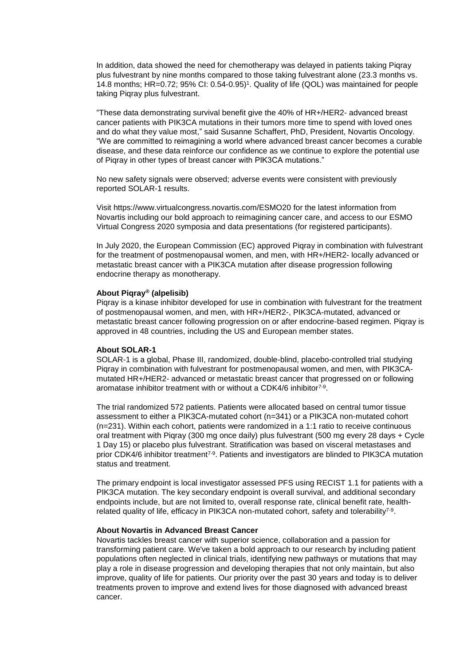In addition, data showed the need for chemotherapy was delayed in patients taking Piqray plus fulvestrant by nine months compared to those taking fulvestrant alone (23.3 months vs. 14.8 months; HR=0.72; 95% CI: 0.54-0.95)<sup>1</sup> . Quality of life (QOL) was maintained for people taking Piqray plus fulvestrant.

"These data demonstrating survival benefit give the 40% of HR+/HER2- advanced breast cancer patients with PIK3CA mutations in their tumors more time to spend with loved ones and do what they value most," said Susanne Schaffert, PhD, President, Novartis Oncology. "We are committed to reimagining a world where advanced breast cancer becomes a curable disease, and these data reinforce our confidence as we continue to explore the potential use of Piqray in other types of breast cancer with PIK3CA mutations."

No new safety signals were observed; adverse events were consistent with previously reported SOLAR-1 results.

Visit [https://www.virtualcongress.novartis.com/ESMO20](https://www.virtualcongress.novartis.com/esmo20/?utm_medium=referral&utm_source=novartis.com&utm_campaign=press_release) for the latest information from Novartis including our bold approach to reimagining cancer care, and access to our ESMO Virtual Congress 2020 symposia and data presentations (for registered participants).

In July 2020, the European Commission (EC) approved Piqray in combination with fulvestrant for the treatment of postmenopausal women, and men, with HR+/HER2- locally advanced or metastatic breast cancer with a PIK3CA mutation after disease progression following endocrine therapy as monotherapy.

#### **About Piqray® (alpelisib)**

Piqray is a kinase inhibitor developed for use in combination with fulvestrant for the treatment of postmenopausal women, and men, with HR+/HER2-, PIK3CA-mutated, advanced or metastatic breast cancer following progression on or after endocrine-based regimen. Piqray is approved in 48 countries, including the US and European member states.

#### **About SOLAR-1**

SOLAR-1 is a global, Phase III, randomized, double-blind, placebo-controlled trial studying Piqray in combination with fulvestrant for postmenopausal women, and men, with PIK3CAmutated HR+/HER2- advanced or metastatic breast cancer that progressed on or following aromatase inhibitor treatment with or without a CDK4/6 inhibitor<sup>7-9</sup>.

The trial randomized 572 patients. Patients were allocated based on central tumor tissue assessment to either a PIK3CA-mutated cohort (n=341) or a PIK3CA non-mutated cohort (n=231). Within each cohort, patients were randomized in a 1:1 ratio to receive continuous oral treatment with Piqray (300 mg once daily) plus fulvestrant (500 mg every 28 days + Cycle 1 Day 15) or placebo plus fulvestrant. Stratification was based on visceral metastases and prior CDK4/6 inhibitor treatment<sup>7-9</sup>. Patients and investigators are blinded to PIK3CA mutation status and treatment.

The primary endpoint is local investigator assessed PFS using RECIST 1.1 for patients with a PIK3CA mutation. The key secondary endpoint is overall survival, and additional secondary endpoints include, but are not limited to, overall response rate, clinical benefit rate, healthrelated quality of life, efficacy in PIK3CA non-mutated cohort, safety and tolerability<sup>7-9</sup>.

#### **About Novartis in Advanced Breast Cancer**

Novartis tackles breast cancer with superior science, collaboration and a passion for transforming patient care. We've taken a bold approach to our research by including patient populations often neglected in clinical trials, identifying new pathways or mutations that may play a role in disease progression and developing therapies that not only maintain, but also improve, quality of life for patients. Our priority over the past 30 years and today is to deliver treatments proven to improve and extend lives for those diagnosed with advanced breast cancer.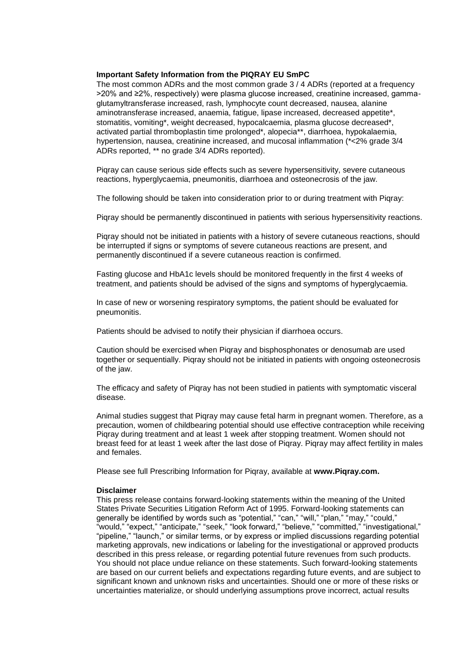#### **Important Safety Information from the PIQRAY EU SmPC**

The most common ADRs and the most common grade 3 / 4 ADRs (reported at a frequency >20% and ≥2%, respectively) were plasma glucose increased, creatinine increased, gammaglutamyltransferase increased, rash, lymphocyte count decreased, nausea, alanine aminotransferase increased, anaemia, fatigue, lipase increased, decreased appetite\*, stomatitis, vomiting\*, weight decreased, hypocalcaemia, plasma glucose decreased\*. activated partial thromboplastin time prolonged\*, alopecia\*\*, diarrhoea, hypokalaemia, hypertension, nausea, creatinine increased, and mucosal inflammation (\*<2% grade 3/4 ADRs reported, \*\* no grade 3/4 ADRs reported).

Piqray can cause serious side effects such as severe hypersensitivity, severe cutaneous reactions, hyperglycaemia, pneumonitis, diarrhoea and osteonecrosis of the jaw.

The following should be taken into consideration prior to or during treatment with Piqray:

Piqray should be permanently discontinued in patients with serious hypersensitivity reactions.

Piqray should not be initiated in patients with a history of severe cutaneous reactions, should be interrupted if signs or symptoms of severe cutaneous reactions are present, and permanently discontinued if a severe cutaneous reaction is confirmed.

Fasting glucose and HbA1c levels should be monitored frequently in the first 4 weeks of treatment, and patients should be advised of the signs and symptoms of hyperglycaemia.

In case of new or worsening respiratory symptoms, the patient should be evaluated for pneumonitis.

Patients should be advised to notify their physician if diarrhoea occurs.

Caution should be exercised when Piqray and bisphosphonates or denosumab are used together or sequentially. Piqray should not be initiated in patients with ongoing osteonecrosis of the jaw.

The efficacy and safety of Piqray has not been studied in patients with symptomatic visceral disease.

Animal studies suggest that Piqray may cause fetal harm in pregnant women. Therefore, as a precaution, women of childbearing potential should use effective contraception while receiving Piqray during treatment and at least 1 week after stopping treatment. Women should not breast feed for at least 1 week after the last dose of Piqray. Piqray may affect fertility in males and females.

Please see full Prescribing Information for Piqray, available at **[www.Piqray.com.](https://www.us.piqray.com/metastatic-breast-cancer/)**

#### **Disclaimer**

This press release contains forward-looking statements within the meaning of the United States Private Securities Litigation Reform Act of 1995. Forward-looking statements can generally be identified by words such as "potential," "can," "will," "plan," "may," "could," "would," "expect," "anticipate," "seek," "look forward," "believe," "committed," "investigational," "pipeline," "launch," or similar terms, or by express or implied discussions regarding potential marketing approvals, new indications or labeling for the investigational or approved products described in this press release, or regarding potential future revenues from such products. You should not place undue reliance on these statements. Such forward-looking statements are based on our current beliefs and expectations regarding future events, and are subject to significant known and unknown risks and uncertainties. Should one or more of these risks or uncertainties materialize, or should underlying assumptions prove incorrect, actual results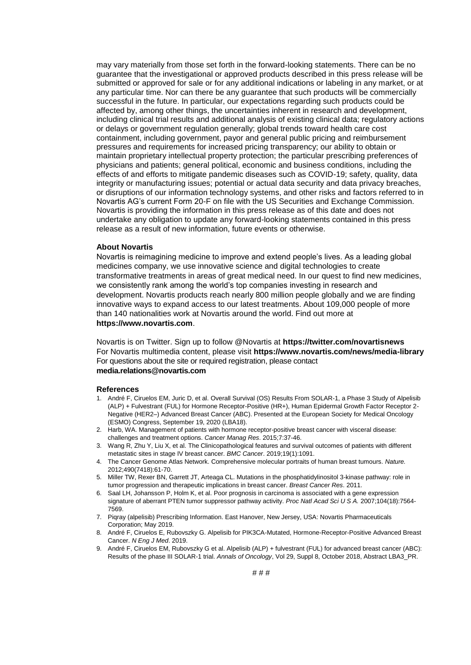may vary materially from those set forth in the forward-looking statements. There can be no guarantee that the investigational or approved products described in this press release will be submitted or approved for sale or for any additional indications or labeling in any market, or at any particular time. Nor can there be any guarantee that such products will be commercially successful in the future. In particular, our expectations regarding such products could be affected by, among other things, the uncertainties inherent in research and development, including clinical trial results and additional analysis of existing clinical data; regulatory actions or delays or government regulation generally; global trends toward health care cost containment, including government, payor and general public pricing and reimbursement pressures and requirements for increased pricing transparency; our ability to obtain or maintain proprietary intellectual property protection; the particular prescribing preferences of physicians and patients; general political, economic and business conditions, including the effects of and efforts to mitigate pandemic diseases such as COVID-19; safety, quality, data integrity or manufacturing issues; potential or actual data security and data privacy breaches, or disruptions of our information technology systems, and other risks and factors referred to in Novartis AG's current Form 20-F on file with the US Securities and Exchange Commission. Novartis is providing the information in this press release as of this date and does not undertake any obligation to update any forward-looking statements contained in this press release as a result of new information, future events or otherwise.

#### **About Novartis**

Novartis is reimagining medicine to improve and extend people's lives. As a leading global medicines company, we use innovative science and digital technologies to create transformative treatments in areas of great medical need. In our quest to find new medicines, we consistently rank among the world's top companies investing in research and development. Novartis products reach nearly 800 million people globally and we are finding innovative ways to expand access to our latest treatments. About 109,000 people of more than 140 nationalities work at Novartis around the world. Find out more at **[https://www.novartis.com](https://www.novartis.com/)**.

Novartis is on Twitter. Sign up to follow @Novartis at **<https://twitter.com/novartisnews>** For Novartis multimedia content, please visit **https:/[/www.novartis.com/news/media-library](http://www.novartis.com/news/media-library)** For questions about the site or required registration, please contact **[media.relations@novartis.com](mailto:media.relations@novartis.com)**

#### **References**

- 1. André F, Ciruelos EM, Juric D, et al. Overall Survival (OS) Results From SOLAR-1, a Phase 3 Study of Alpelisib (ALP) + Fulvestrant (FUL) for Hormone Receptor-Positive (HR+), Human Epidermal Growth Factor Receptor 2- Negative (HER2–) Advanced Breast Cancer (ABC). Presented at the European Society for Medical Oncology (ESMO) Congress, September 19, 2020 (LBA18).
- 2. Harb, WA. Management of patients with hormone receptor-positive breast cancer with visceral disease: challenges and treatment options. *Cancer Manag Res*. 2015;7:37-46.
- 3. Wang R, Zhu Y, Liu X, et al. The Clinicopathological features and survival outcomes of patients with different metastatic sites in stage IV breast cancer. *BMC Cancer*. 2019;19(1):1091.
- 4. The Cancer Genome Atlas Network. Comprehensive molecular portraits of human breast tumours. *Nature.* 2012;490(7418):61-70.
- 5. Miller TW, Rexer BN, Garrett JT, Arteaga CL. Mutations in the phosphatidylinositol 3-kinase pathway: role in tumor progression and therapeutic implications in breast cancer. *Breast Cancer Res*. 2011.
- 6. Saal LH, Johansson P, Holm K, et al. Poor prognosis in carcinoma is associated with a gene expression signature of aberrant PTEN tumor suppressor pathway activity. *Proc Natl Acad Sci U S A.* 2007;104(18):7564- 7569.
- 7. Piqray (alpelisib) Prescribing Information. East Hanover, New Jersey, USA: Novartis Pharmaceuticals Corporation; May 2019.
- 8. André F, Ciruelos E, Rubovszky G. Alpelisib for PIK3CA-Mutated, Hormone-Receptor-Positive Advanced Breast Cancer. *N Eng J Med*. 2019.
- 9. André F, Ciruelos EM, Rubovszky G et al. Alpelisib (ALP) + fulvestrant (FUL) for advanced breast cancer (ABC): Results of the phase III SOLAR-1 trial. *Annals of Oncology*, Vol 29, Suppl 8, October 2018, Abstract LBA3\_PR.